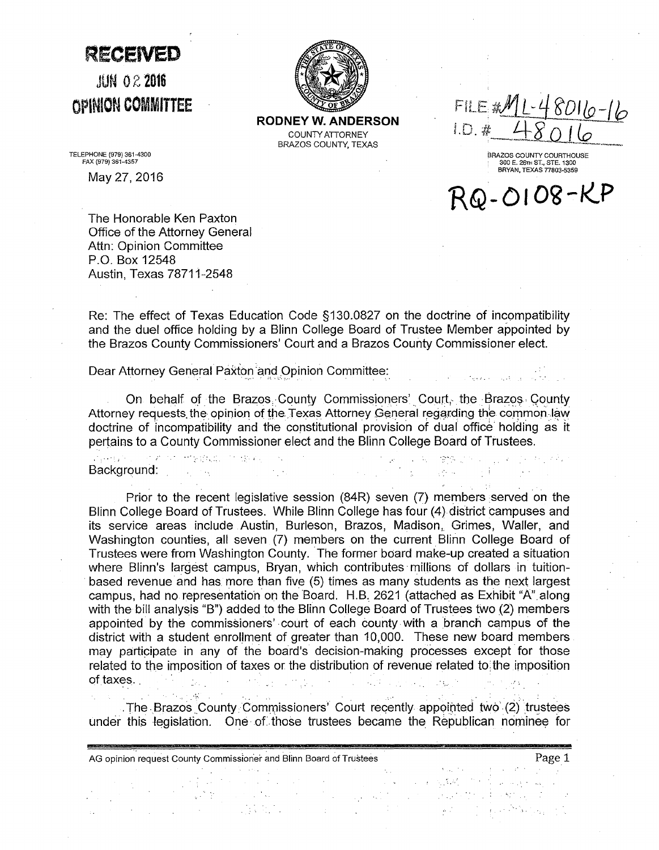**RECEIVED** 

JUN *OZ* **2016**  OPINIOH **COMMITTEE** 



**RODNEY W. ANDERSON**  COUNTY ATTORNEY BRAZOS COUNTY, TEXAS

FILE AML-48016-16 ID a

BRAZOS COUNTY COURTHOUSE 300 E. 26TH ST., STE. 1300 BRYAN, TEXAS 77803-5359

RQ-0108-KP

TELEPHONE (979) 361-4300 FAX (979) 361-4357

May 27, 2016

The Honorable Ken Paxton Office of the Attorney General Attn: Opinion Committee P\_Q. Box 12548 Austin, Texas 78711-2548

Re: The effect of Texas Education Code §130.0827 on the doctrine of incompatibility and the duel office holding by a Blinn College Board of Trustee Member appointed by the Brazos County Commissioners' Court and a Brazos County Commissioner elect.

Dear Attorney General Paxton and Opinion Committee:

 $\mathcal{L}_{\text{max}}$  , where  $\mathcal{L}_{\text{max}}$ 

 $\Delta_{\rm{eff}}$  , where  $\Delta_{\rm{eff}}$ 

On behalf of the Brazos. County Commissioners' Court, the Brazos. County Attorney requests the opinion of the Texas Attorney General regarding the common.law doctrine of ·incompatibility and the constitutional provision of dual office holding as it pertains to a County Commissioner elect and the Blinn College Board of Trustees.

 $\mathcal{L}^{\text{max}}_{\text{max}}$  , where  $\mathcal{L}^{\text{max}}_{\text{max}}$ 

 $\sqrt{2}$  ,  $\sqrt{2}$ 

学校 计可可变字

。<br>『新規経』の作者の1970年12月1日発表。 1970年 Background:

Prior to the recent legislative session (84R) seven (7) members served on the Blinn College Board of Trustees. While Blinn College has four (4) district campuses and its service areas include Austin, Burleson, Brazos, Madison, Grimes, Waller, and Washington counties, all seven (7) members on the current Blinn College Board of Trustees were from Washington County. The former board make-up created a situation where Blinn's largest campus, Bryan, which contributes millions of dollars in tuitionbased revenue and has more than five (5) times as many students as the next largest campus, had no representation on the Board. H.B. 2621 (attached as Exhibit "A" along with the bill analysis "B") added to the Blinn College Board of Trustees two (2) members appointed by the commissioners' court of each county with a branch campus of the district with a student enrollment of greater than 10,000. These new board members may participate in any of the board's decision-making processes except for those related to the imposition of taxes or the distribution of revenue related to: the imposition of taxes. · ..

. The Brazos County Commissioners' Court recently appointed two (2) trustees under this legislation. One of those trustees became the Republican nominee for

AG opinion request County Commissioner and Blinn Board of Trustees **Page 1** Page 1  $\frac{1}{4}$  and  $\frac{1}{4}$ 小脑桥  $\mathcal{L}^{\text{max}}_{\text{max}}$  , where  $\mathcal{L}^{\text{max}}_{\text{max}}$  $\mathcal{P}_{\text{max}}$  $\frac{1}{2} \int_{\mathbb{R}^3} \frac{1}{\sqrt{2}} \, \mathrm{d} \theta$  $\label{eq:2} \begin{split} \mathcal{L}_{\text{max}} = \frac{1}{2} \sum_{i=1}^{N} \mathcal{L}_{\text{max}} = \frac{1}{2} \sum_{i=1}^{N} \mathcal{L}_{\text{max}} = \frac{1}{2} \sum_{i=1}^{N} \mathcal{L}_{\text{max}} = \frac{1}{2} \sum_{i=1}^{N} \mathcal{L}_{\text{max}} = \frac{1}{2} \sum_{i=1}^{N} \mathcal{L}_{\text{max}} = \frac{1}{2} \sum_{i=1}^{N} \mathcal{L}_{\text{max}} = \frac{1}{2} \sum_{i=1}^{N} \mathcal{L$  $\sim 10^{-10}$  $\mathcal{L}^{\text{max}}_{\text{max}}$  $\mathcal{L}_{\text{max}}$  .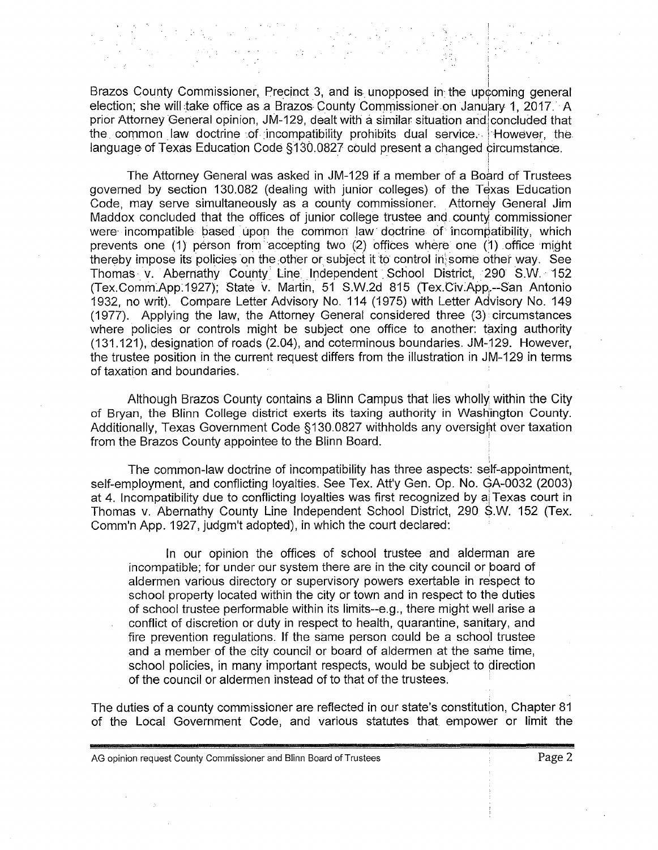Brazos County Commissioner, Precinct 3, and is unopposed in the upcoming general election; she will take office as a Brazos County Commissioner on January 1, 2017. A prior Attorney General opinion, JM-129, dealt with a similar situation and concluded that the common law doctrine of incompatibility prohibits dual service. However, the language of Texas Education Code §130.0827 could present a changed circumstance.

!

The Attorney General was asked in JM-129 if a member of a Board of Trustees governed by section 130.082 (dealing with junior colleges) of the Texas Education Code, may serve simultaneously as a county commissioner. Attorney General Jim Maddox concluded that the offices of junior college trustee and county commissioner were incompatible based upon the common law doctrine of incompatibility, which prevents one  $(1)$  person from accepting two  $(2)$  offices where one  $(1)$  office might thereby impose its policies on the other or subject it to control in some other way. See Thomas v. Abernathy County Line Independent School District, 290 S.W. 152 (Tex.Comm.App:1927); State v. Martin, 51 S.W.2d 815 (Tex.Giv~App;.--San Antonio 1932, no writ). Compare Letter Advisory No. 114 (1975) with Letter Advisory No. 149 (1977). Applying the law, the Attorney General considered three (3) circumstances where policies or controls might be subject one office to another: taxing authority (131.121), designation of roads (2.04), and coterminous boundaries. JM-129. However, the trustee position in the current request differs from the illustration in JM-129 in terms of taxation and boundaries.

Although Brazos County contains a Blinn Campus that lies wholly within the City of Bryan, the Blinn College district exerts its taxing authority in Washington County. Additionally, Texas Government Code §130.0827 withholds any oversight over taxation from the Brazos County appointee to the Blinn Board. '

The common-law doctrine of incompatibility has three aspects: self-appointment, self-employment, and conflicting loyalties. See Tex. Att'y Gen. Op. No. GA-0032 (2003) at 4. Incompatibility due to conflicting loyalties was first recognized by ai Texas court in Thomas v. Abernathy County Line Independent School District, 290 S.W. 152 (Tex. Comm'n App. 1927, judgm't adopted), in which the court declared:

In our opinion the offices of school trustee and alderman are incompatible; for under our system there are in the city council or board of aldermen various directory or supervisory powers exertable in respect to school property located within the city or town and in respect to the duties of school trustee performable within its limits--e.g., there might well arise a conflict of discretion or duty in respect to health, quarantine, sanitary, and fire prevention regulations. If the same person could be a school trustee and a member of the city council or board of aldermen at the same time, school policies, in many important respects, would be subject to direction of the council or aldermen instead of to that of the trustees.

The duties of a county commissioner are reflected in our state's constitution, Chapter 81 of the Local Government Code, and various statutes that empower or limit the

AG opinion request County Commissioner and Blinn Board of Trustees **Page 2** Page 2